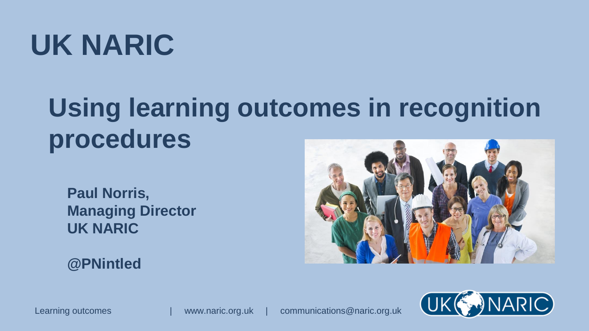# **UK NARIC**

## **Using learning outcomes in recognition procedures**

**Paul Norris, Managing Director UK NARIC**

**@PNintled**





Learning outcomes | www.naric.org.uk | communications@naric.org.uk

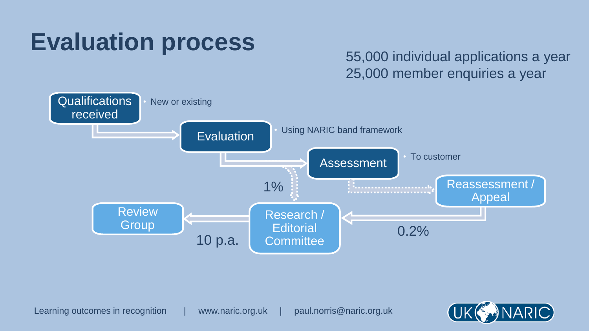#### **Evaluation process**

#### 55,000 individual applications a year 25,000 member enquiries a year



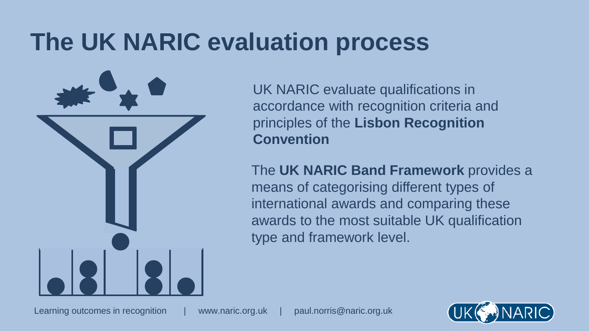## **The UK NARIC evaluation process**

UK NARIC evaluate qualifications in accordance with recognition criteria and principles of the **Lisbon Recognition Convention**

The **UK NARIC Band Framework** provides a means of categorising different types of international awards and comparing these awards to the most suitable UK qualification type and framework level.

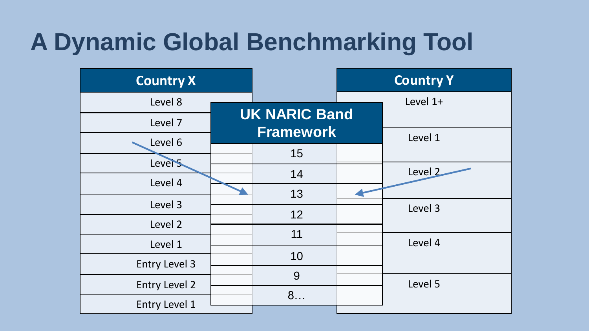## **A Dynamic Global Benchmarking Tool**

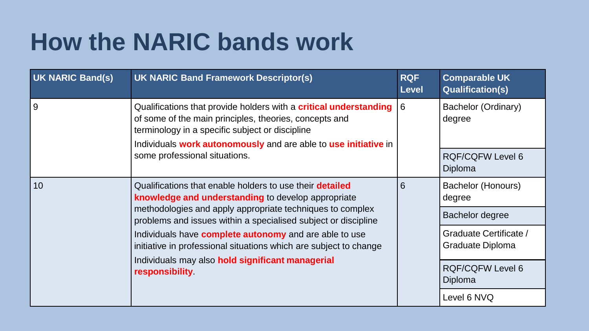## **How the NARIC bands work**

| <b>UK NARIC Band(s)</b> | <b>UK NARIC Band Framework Descriptor(s)</b>                                                                                                                                                                                                                                                                                                                                                                                                                      | <b>RQF</b><br><b>Level</b> | <b>Comparable UK</b><br><b>Qualification(s)</b> |
|-------------------------|-------------------------------------------------------------------------------------------------------------------------------------------------------------------------------------------------------------------------------------------------------------------------------------------------------------------------------------------------------------------------------------------------------------------------------------------------------------------|----------------------------|-------------------------------------------------|
| 9                       | Qualifications that provide holders with a <b>critical understanding</b><br>of some of the main principles, theories, concepts and<br>terminology in a specific subject or discipline<br>Individuals work autonomously and are able to use initiative in<br>some professional situations.                                                                                                                                                                         | 6                          | Bachelor (Ordinary)<br>degree                   |
|                         |                                                                                                                                                                                                                                                                                                                                                                                                                                                                   |                            | <b>RQF/CQFW Level 6</b><br>Diploma              |
| 10                      | Qualifications that enable holders to use their <b>detailed</b><br>knowledge and understanding to develop appropriate<br>methodologies and apply appropriate techniques to complex<br>problems and issues within a specialised subject or discipline<br>Individuals have <b>complete autonomy</b> and are able to use<br>initiative in professional situations which are subject to change<br>Individuals may also hold significant managerial<br>responsibility. | 6                          | Bachelor (Honours)<br>degree                    |
|                         |                                                                                                                                                                                                                                                                                                                                                                                                                                                                   |                            | Bachelor degree                                 |
|                         |                                                                                                                                                                                                                                                                                                                                                                                                                                                                   |                            | Graduate Certificate /<br>Graduate Diploma      |
|                         |                                                                                                                                                                                                                                                                                                                                                                                                                                                                   |                            | <b>RQF/CQFW Level 6</b><br>Diploma              |
|                         |                                                                                                                                                                                                                                                                                                                                                                                                                                                                   |                            | Level 6 NVQ                                     |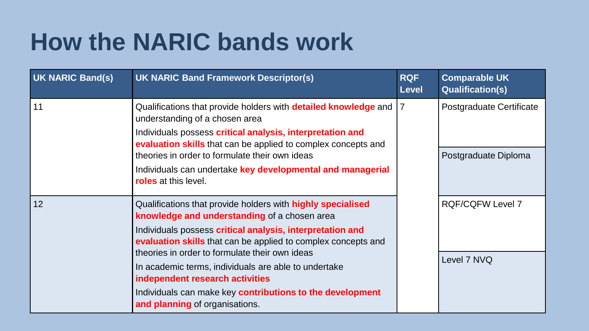## **How the NARIC bands work**

| <b>UK NARIC Band(s)</b> | <b>UK NARIC Band Framework Descriptor(s)</b>                                                                                                                                                                                                                                                                                                                                                                                                                                                 | <b>RQF</b><br><b>Level</b> | <b>Comparable UK</b><br><b>Qualification(s)</b> |
|-------------------------|----------------------------------------------------------------------------------------------------------------------------------------------------------------------------------------------------------------------------------------------------------------------------------------------------------------------------------------------------------------------------------------------------------------------------------------------------------------------------------------------|----------------------------|-------------------------------------------------|
| 11                      | Qualifications that provide holders with <b>detailed knowledge</b> and<br>understanding of a chosen area<br>Individuals possess critical analysis, interpretation and<br>evaluation skills that can be applied to complex concepts and                                                                                                                                                                                                                                                       | 7                          | Postgraduate Certificate                        |
|                         | theories in order to formulate their own ideas<br>Individuals can undertake key developmental and managerial<br><b>roles</b> at this level.                                                                                                                                                                                                                                                                                                                                                  |                            | Postgraduate Diploma                            |
| 12                      | Qualifications that provide holders with <b>highly specialised</b><br>knowledge and understanding of a chosen area<br>Individuals possess critical analysis, interpretation and<br>evaluation skills that can be applied to complex concepts and<br>theories in order to formulate their own ideas<br>In academic terms, individuals are able to undertake<br>independent research activities<br>Individuals can make key contributions to the development<br>and planning of organisations. |                            | <b>RQF/CQFW Level 7</b><br>Level 7 NVQ          |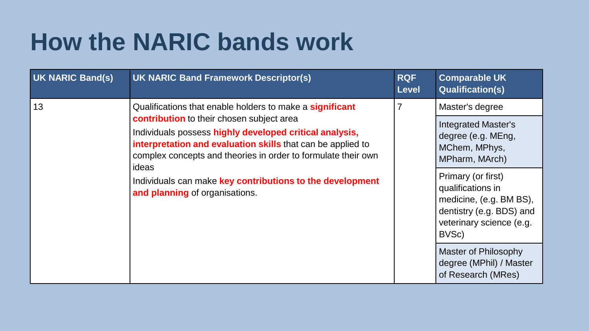## **How the NARIC bands work**

| UK NARIC Band(s) | <b>UK NARIC Band Framework Descriptor(s)</b>                                                                                                                                                                                                                                                                                                                                                             | <b>RQF</b><br><b>Level</b> | <b>Comparable UK</b><br><b>Qualification(s)</b>                                                                                                                                                                                                                                                                        |
|------------------|----------------------------------------------------------------------------------------------------------------------------------------------------------------------------------------------------------------------------------------------------------------------------------------------------------------------------------------------------------------------------------------------------------|----------------------------|------------------------------------------------------------------------------------------------------------------------------------------------------------------------------------------------------------------------------------------------------------------------------------------------------------------------|
| 13               | Qualifications that enable holders to make a significant<br>contribution to their chosen subject area<br>Individuals possess highly developed critical analysis,<br>interpretation and evaluation skills that can be applied to<br>complex concepts and theories in order to formulate their own<br>ideas<br>Individuals can make key contributions to the development<br>and planning of organisations. | $\overline{7}$             | Master's degree<br><b>Integrated Master's</b><br>degree (e.g. MEng,<br>MChem, MPhys,<br>MPharm, MArch)<br>Primary (or first)<br>qualifications in<br>medicine, (e.g. BM BS),<br>dentistry (e.g. BDS) and<br>veterinary science (e.g.<br>BVSc)<br>Master of Philosophy<br>degree (MPhil) / Master<br>of Research (MRes) |